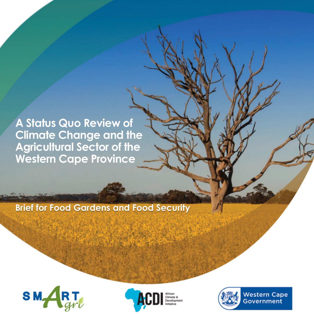**A Status Quo Review of Climate Change and the Agricultural Sector of the Western Cape Province**

#### **Brief for Food Gardens and Food Security**







**Western Cape** Government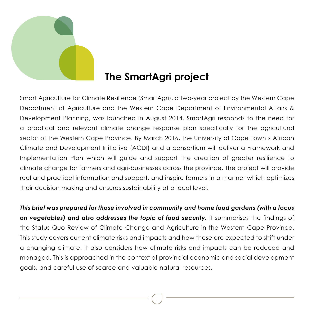

## **The SmartAgri project**

Smart Agriculture for Climate Resilience (SmartAgri), a two-year project by the Western Cape Department of Agriculture and the Western Cape Department of Environmental Affairs & Development Planning, was launched in August 2014. SmartAgri responds to the need for a practical and relevant climate change response plan specifically for the agricultural sector of the Western Cape Province. By March 2016, the University of Cape Town's African Climate and Development Initiative (ACDI) and a consortium will deliver a Framework and Implementation Plan which will guide and support the creation of greater resilience to climate change for farmers and agri-businesses across the province. The project will provide real and practical information and support, and inspire farmers in a manner which optimizes their decision making and ensures sustainability at a local level.

*This brief was prepared for those involved in community and home food gardens (with a focus on vegetables) and also addresses the topic of food security.* It summarises the findings of the Status Quo Review of Climate Change and Agriculture in the Western Cape Province. This study covers current climate risks and impacts and how these are expected to shift under a changing climate. It also considers how climate risks and impacts can be reduced and managed. This is approached in the context of provincial economic and social development goals, and careful use of scarce and valuable natural resources.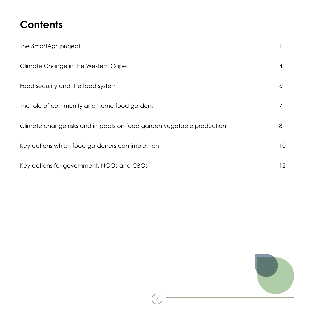# **Contents**

| The SmartAgri project                                                |    |
|----------------------------------------------------------------------|----|
| Climate Change in the Western Cape                                   | 4  |
| Food security and the food system                                    | 6  |
| The role of community and home food gardens                          | 7  |
| Climate change risks and impacts on food garden vegetable production | 8  |
| Key actions which food gardeners can implement                       | 10 |
| Key actions for government, NGOs and CBOs                            | 12 |

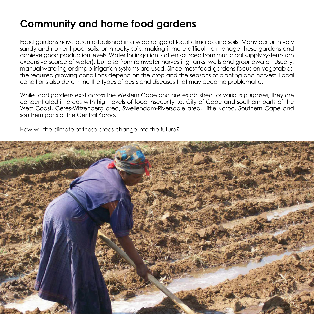## **Community and home food gardens**

Food gardens have been established in a wide range of local climates and soils. Many occur in very sandy and nutrient-poor soils, or in rocky soils, making it more difficult to manage these gardens and achieve good production levels. Water for irrigation is often sourced from municipal supply systems (an expensive source of water), but also from rainwater harvesting tanks, wells and groundwater. Usually, manual watering or simple irrigation systems are used. Since most food gardens focus on vegetables, the required growing conditions depend on the crop and the seasons of planting and harvest. Local conditions also determine the types of pests and diseases that may become problematic.

While food gardens exist across the Western Cape and are established for various purposes, they are concentrated in areas with high levels of food insecurity i.e. City of Cape and southern parts of the West Coast, Ceres-Witzenberg area, Swellendam-Riversdale area, Little Karoo, Southern Cape and southern parts of the Central Karoo.

How will the climate of these areas change into the future?

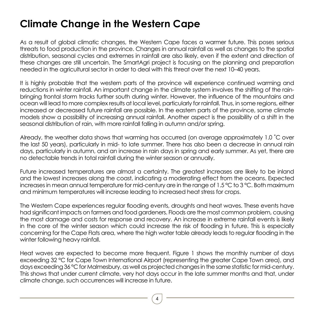## **Climate Change in the Western Cape**

As a result of global climatic changes, the Western Cape faces a warmer future. This poses serious threats to food production in the province. Changes in annual rainfall as well as changes to the spatial distribution, seasonal cycles and extremes in rainfall are also likely, even if the extent and direction of these changes are still uncertain. The SmartAgri project is focusing on the planning and preparation needed in the agricultural sector in order to deal with this threat over the next 10–40 years.

It is highly probable that the western parts of the province will experience continued warming and reductions in winter rainfall. An important change in the climate system involves the shifting of the rainbringing frontal storm tracks further south during winter. However, the influence of the mountains and ocean will lead to more complex results at local level, particularly for rainfall. Thus, in some regions, either increased or decreased future rainfall are possible. In the eastern parts of the province, some climate models show a possibility of increasing annual rainfall. Another aspect is the possibility of a shift in the seasonal distribution of rain, with more rainfall falling in autumn and/or spring.

Already, the weather data shows that warming has occurred (on average approximately 1.0 ˚C over the last 50 years), particularly in mid- to late summer. There has also been a decrease in annual rain days, particularly in autumn, and an increase in rain days in spring and early summer. As yet, there are no detectable trends in total rainfall during the winter season or annually.

Future increased temperatures are almost a certainty. The greatest increases are likely to be inland and the lowest increases along the coast, indicating a moderating effect from the oceans. Expected increases in mean annual temperature for mid-century are in the range of 1.5 °C to 3 °C. Both maximum and minimum temperatures will increase leading to increased heat stress for crops.

The Western Cape experiences regular flooding events, droughts and heat waves. These events have had significant impacts on farmers and food gardeners. Floods are the most common problem, causing the most damage and costs for response and recovery. An increase in extreme rainfall events is likely in the core of the winter season which could increase the risk of flooding in future. This is especially concerning for the Cape Flats area, where the high water table already leads to regular flooding in the winter following heavy rainfall.

Heat waves are expected to become more frequent. Figure 1 shows the monthly number of days exceeding 32 °C for Cape Town International Airport (representing the greater Cape Town area), and days exceeding 36 °C for Malmesbury, as well as projected changes in the same statistic for mid-century. This shows that under current climate, very hot days occur in the late summer months and that, under climate change, such occurrences will increase in future.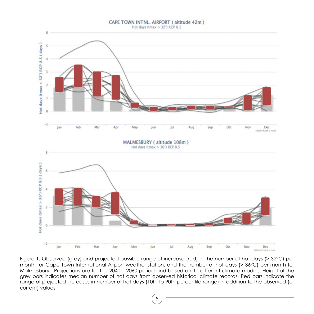#### CAPE TOWN INTNL. AIRPORT (altitude 42m)





Figure 1. Observed (grey) and projected possible range of increase (red) in the number of hot days (> 32°C) per month for Cape Town International Airport weather station, and the number of hot days (> 36°C) per month for Malmesbury. Projections are for the 2040 – 2060 period and based on 11 different climate models. Height of the grey bars indicates median number of hot days from observed historical climate records. Red bars indicate the range of projected increases in number of hot days (10th to 90th percentile range) in addition to the observed (or current) values.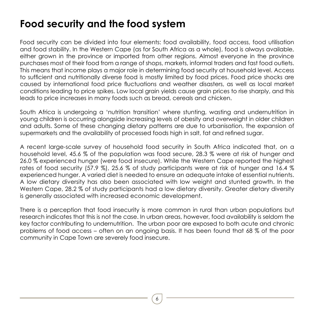## **Food security and the food system**

Food security can be divided into four elements: food availability, food access, food utilisation and food stability. In the Western Cape (as for South Africa as a whole), food is always available, either grown in the province or imported from other regions. Almost everyone in the province purchases most of their food from a range of shops, markets, informal traders and fast food outlets. This means that income plays a major role in determining food security at household level. Access to sufficient and nutritionally diverse food is mostly limited by food prices. Food price shocks are caused by international food price fluctuations and weather disasters, as well as local market conditions leading to price spikes. Low local grain yields cause grain prices to rise sharply, and this leads to price increases in many foods such as bread, cereals and chicken.

South Africa is undergoing a 'nutrition transition' where stunting, wasting and undernutrition in young children is occurring alongside increasing levels of obesity and overweight in older children and adults. Some of these changing dietary patterns are due to urbanisation, the expansion of supermarkets and the availability of processed foods high in salt, fat and refined sugar.

A recent large-scale survey of household food security in South Africa indicated that, on a household level, 45.6 % of the population was food secure, 28.3 % were at risk of hunger and 26.0 % experienced hunger (were food insecure). While the Western Cape reported the highest rates of food security (57.9 %), 25.6 % of study participants were at risk of hunger and 16.4 % experienced hunger. A varied diet is needed to ensure an adequate intake of essential nutrients. A low dietary diversity has also been associated with low weight and stunted growth. In the Western Cape, 28.2 % of study participants had a low dietary diversity. Greater dietary diversity is generally associated with increased economic development.

There is a perception that food insecurity is more common in rural than urban populations but research indicates that this is not the case. In urban areas, however, food availability is seldom the key factor contributing to undernutrition. The urban poor are exposed to both acute and chronic problems of food access – often on an ongoing basis. It has been found that 68 % of the poor community in Cape Town are severely food insecure.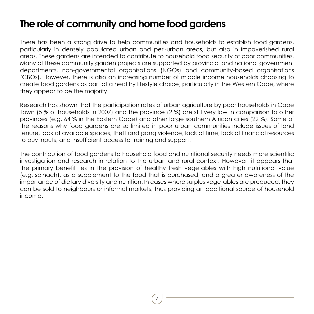#### **The role of community and home food gardens**

There has been a strong drive to help communities and households to establish food gardens, particularly in densely populated urban and peri-urban areas, but also in impoverished rural areas. These gardens are intended to contribute to household food security of poor communities. Many of these community garden projects are supported by provincial and national government departments, non-governmental organisations (NGOs) and community-based organisations (CBOs). However, there is also an increasing number of middle income households choosing to create food gardens as part of a healthy lifestyle choice, particularly in the Western Cape, where they appear to be the majority.

Research has shown that the participation rates of urban agriculture by poor households in Cape Town (5 % of households in 2007) and the province (2 %) are still very low in comparison to other provinces (e.g. 64 % in the Eastern Cape) and other large southern African cities (22 %). Some of the reasons why food gardens are so limited in poor urban communities include issues of land tenure, lack of available spaces, theft and gang violence, lack of time, lack of financial resources to buy inputs, and insufficient access to training and support.

The contribution of food gardens to household food and nutritional security needs more scientific investigation and research in relation to the urban and rural context. However, it appears that the primary benefit lies in the provision of healthy fresh vegetables with high nutritional value (e.g. spinach), as a supplement to the food that is purchased, and a greater awareness of the importance of dietary diversity and nutrition. In cases where surplus vegetables are produced, they can be sold to neighbours or informal markets, thus providing an additional source of household income.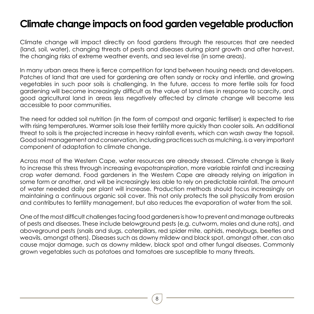#### **Climate change impacts on food garden vegetable production**

Climate change will impact directly on food gardens through the resources that are needed (land, soil, water), changing threats of pests and diseases during plant growth and after harvest, the changing risks of extreme weather events, and sea level rise (in some areas).

In many urban areas there is fierce competition for land between housing needs and developers. Patches of land that are used for gardening are often sandy or rocky and infertile, and growing vegetables in such poor soils is challenging. In the future, access to more fertile soils for food gardening will become increasingly difficult as the value of land rises in response to scarcity, and good agricultural land in areas less negatively affected by climate change will become less accessible to poor communities.

The need for added soil nutrition (in the form of compost and organic fertiliser) is expected to rise with rising temperatures. Warmer soils lose their fertility more quickly than cooler soils. An additional threat to soils is the projected increase in heavy rainfall events, which can wash away the topsoil. Good soil management and conservation, including practices such as mulching, is a very important component of adaptation to climate change.

Across most of the Western Cape, water resources are already stressed. Climate change is likely to increase this stress through increasing evapotranspiration, more variable rainfall and increasing crop water demand. Food gardeners in the Western Cape are already relying on irrigation in some form or another, and will be increasingly less able to rely on predictable rainfall. The amount of water needed daily per plant will increase. Production methods should focus increasingly on maintaining a continuous organic soil cover. This not only protects the soil physically from erosion and contributes to fertility management, but also reduces the evaporation of water from the soil.

One of the most difficult challenges facing food gardeners is how to prevent and manage outbreaks of pests and diseases. These include belowground pests (e.g. cutworm, moles and dune rats), and aboveground pests (snails and slugs, caterpillars, red spider mite, aphids, mealybugs, beetles and weavils, amongst others). Diseases such as downy mildew and black spot, amongst other, can also cause major damage, such as downy mildew, black spot and other fungal diseases. Commonly grown vegetables such as potatoes and tomatoes are susceptible to many threats.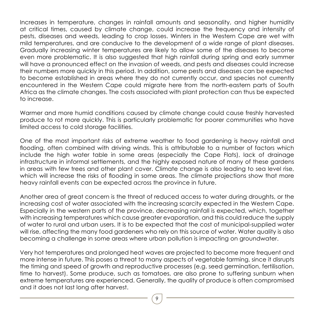Increases in temperature, changes in rainfall amounts and seasonality, and higher humidity at critical times, caused by climate change, could increase the frequency and intensity of pests, diseases and weeds, leading to crop losses. Winters in the Western Cape are wet with mild temperatures, and are conducive to the development of a wide range of plant diseases. Gradually increasing winter temperatures are likely to allow some of the diseases to become even more problematic. It is also suggested that high rainfall during spring and early summer will have a pronounced effect on the invasion of weeds, and pests and diseases could increase their numbers more quickly in this period. In addition, some pests and diseases can be expected to become established in areas where they do not currently occur, and species not currently encountered in the Western Cape could migrate here from the north-eastern parts of South Africa as the climate changes. The costs associated with plant protection can thus be expected to increase.

Warmer and more humid conditions caused by climate change could cause freshly harvested produce to rot more quickly. This is particularly problematic for poorer communities who have limited access to cold storage facilities.

One of the most important risks of extreme weather to food gardening is heavy rainfall and flooding, often combined with driving winds. This is attributable to a number of factors which include the high water table in some areas (especially the Cape Flats), lack of drainage infrastructure in informal settlements, and the highly exposed nature of many of these gardens in areas with few trees and other plant cover. Climate change is also leading to sea level rise, which will increase the risks of flooding in some areas. The climate projections show that more heavy rainfall events can be expected across the province in future.

Another area of great concern is the threat of reduced access to water during droughts, or the increasing cost of water associated with the increasing scarcity expected in the Western Cape. Especially in the western parts of the province, decreasing rainfall is expected, which, together with increasing temperatures which cause greater evaporation, and this could reduce the supply of water to rural and urban users. It is to be expected that the cost of municipal-supplied water will rise, affecting the many food gardeners who rely on this source of water. Water quality is also becoming a challenge in some areas where urban pollution is impacting on groundwater.

Very hot temperatures and prolonged heat waves are projected to become more frequent and more intense in future. This poses a threat to many aspects of vegetable farming, since it disrupts the timing and speed of growth and reproductive processes (e.g. seed germination, fertilisation, time to harvest). Some produce, such as tomatoes, are also prone to suffering sunburn when extreme temperatures are experienced. Generally, the quality of produce is often compromised and it does not last long after harvest.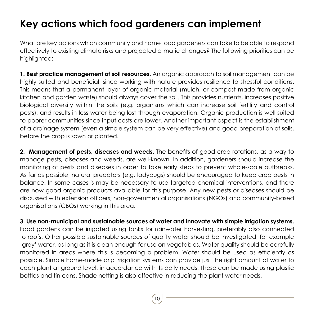## **Key actions which food gardeners can implement**

What are key actions which community and home food gardeners can take to be able to respond effectively to existing climate risks and projected climatic changes? The following priorities can be highlighted:

**1. Best practice management of soil resources.** An organic approach to soil management can be highly suited and beneficial, since working with nature provides resilience to stressful conditions. This means that a permanent layer of organic material (mulch, or compost made from organic kitchen and garden waste) should always cover the soil. This provides nutrients, increases positive biological diversity within the soils (e.g. organisms which can increase soil fertility and control pests), and results in less water being lost through evaporation. Organic production is well suited to poorer communities since input costs are lower. Another important aspect is the establishment of a drainage system (even a simple system can be very effective) and good preparation of soils, before the crop is sown or planted.

**2. Management of pests, diseases and weeds.** The benefits of good crop rotations, as a way to manage pests, diseases and weeds, are well-known. In addition, gardeners should increase the monitoring of pests and diseases in order to take early steps to prevent whole-scale outbreaks. As far as possible, natural predators (e.g. ladybugs) should be encouraged to keep crop pests in balance. In some cases is may be necessary to use targeted chemical interventions, and there are now good organic products available for this purpose. Any new pests or diseases should be discussed with extension officers, non-governmental organisations (NGOs) and community-based organisations (CBOs) working in this area.

**3. Use non-municipal and sustainable sources of water and innovate with simple irrigation systems.**  Food gardens can be irrigated using tanks for rainwater harvesting, preferably also connected to roofs. Other possible sustainable sources of quality water should be investigated, for example 'grey' water, as long as it is clean enough for use on vegetables. Water quality should be carefully monitored in areas where this is becoming a problem. Water should be used as efficiently as possible. Simple home-made drip irrigation systems can provide just the right amount of water to each plant at ground level, in accordance with its daily needs. These can be made using plastic bottles and tin cans. Shade netting is also effective in reducing the plant water needs.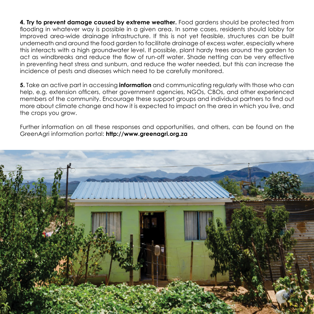**4. Try to prevent damage caused by extreme weather.** Food gardens should be protected from flooding in whatever way is possible in a given area. In some cases, residents should lobby for improved area-wide drainage infrastructure. If this is not yet feasible, structures can be built underneath and around the food garden to facilitate drainage of excess water, especially where this interacts with a high groundwater level. If possible, plant hardy trees around the garden to act as windbreaks and reduce the flow of run-off water. Shade netting can be very effective in preventing heat stress and sunburn, and reduce the water needed, but this can increase the incidence of pests and diseases which need to be carefully monitored.

**5.** Take an active part in accessing **information** and communicating regularly with those who can help, e.g. extension officers, other government agencies, NGOs, CBOs, and other experienced members of the community. Encourage these support groups and individual partners to find out more about climate change and how it is expected to impact on the area in which you live, and the crops you grow.

Further information on all these responses and opportunities, and others, can be found on the GreenAgri information portal: **http://www.greenagri.org.za**

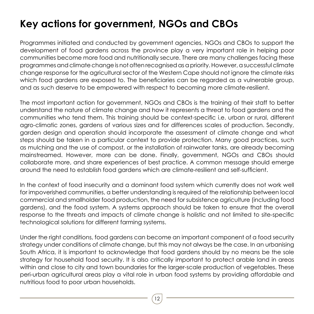# **Key actions for government, NGOs and CBOs**

Programmes initiated and conducted by government agencies, NGOs and CBOs to support the development of food gardens across the province play a very important role in helping poor communities become more food and nutritionally secure. There are many challenges facing these programmes and climate change is not often recognised as a priority. However, a successful climate change response for the agricultural sector of the Western Cape should not ignore the climate risks which food gardens are exposed to. The beneficiaries can be regarded as a vulnerable group, and as such deserve to be empowered with respect to becoming more climate-resilient.

The most important action for government, NGOs and CBOs is the training of their staff to better understand the nature of climate change and how it represents a threat to food gardens and the communities who tend them. This training should be context-specific i.e. urban or rural, different agro-climatic zones, gardens of various sizes and for differences scales of production. Secondly, garden design and operation should incorporate the assessment of climate change and what steps should be taken in a particular context to provide protection. Many good practices, such as mulching and the use of compost, or the installation of rainwater tanks, are already becoming mainstreamed. However, more can be done. Finally, government, NGOs and CBOs should collaborate more, and share experiences of best practice. A common message should emerge around the need to establish food gardens which are climate-resilient and self-sufficient.

In the context of food insecurity and a dominant food system which currently does not work well for impoverished communities, a better understanding is required of the relationship between local commercial and smallholder food production, the need for subsistence agriculture (including food gardens), and the food system. A systems approach should be taken to ensure that the overall response to the threats and impacts of climate change is holistic and not limited to site-specific technological solutions for different farming systems.

Under the right conditions, food gardens can become an important component of a food security strategy under conditions of climate change, but this may not always be the case. In an urbanising South Africa, it is important to acknowledge that food gardens should by no means be the sole strategy for household food security. It is also critically important to protect arable land in areas within and close to city and town boundaries for the larger-scale production of vegetables. These peri-urban agricultural areas play a vital role in urban food systems by providing affordable and nutritious food to poor urban households.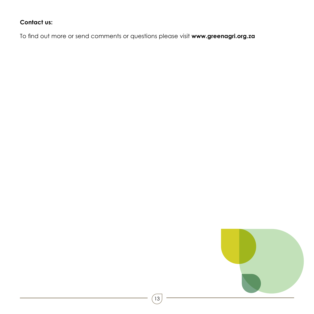#### **Contact us:**

To find out more or send comments or questions please visit **www.greenagri.org.za**